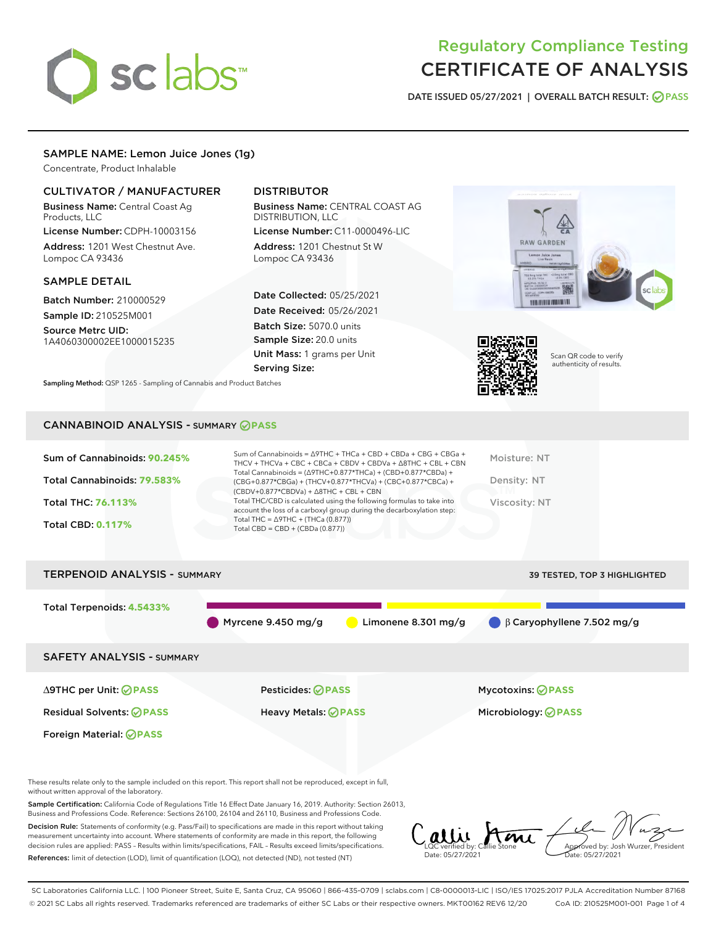# sclabs

## Regulatory Compliance Testing CERTIFICATE OF ANALYSIS

DATE ISSUED 05/27/2021 | OVERALL BATCH RESULT: @ PASS

#### SAMPLE NAME: Lemon Juice Jones (1g)

Concentrate, Product Inhalable

#### CULTIVATOR / MANUFACTURER

Business Name: Central Coast Ag Products, LLC

License Number: CDPH-10003156 Address: 1201 West Chestnut Ave. Lompoc CA 93436

#### SAMPLE DETAIL

Batch Number: 210000529 Sample ID: 210525M001

Source Metrc UID: 1A4060300002EE1000015235

### DISTRIBUTOR

Business Name: CENTRAL COAST AG DISTRIBUTION, LLC

License Number: C11-0000496-LIC Address: 1201 Chestnut St W Lompoc CA 93436

Date Collected: 05/25/2021 Date Received: 05/26/2021 Batch Size: 5070.0 units Sample Size: 20.0 units Unit Mass: 1 grams per Unit Serving Size:

Sampling Method: QSP 1265 - Sampling of Cannabis and Product Batches





Scan QR code to verify authenticity of results.

#### CANNABINOID ANALYSIS - SUMMARY **PASS**

| Sum of Cannabinoids: 90.245%<br>Total Cannabinoids: 79.583%<br><b>Total THC: 76.113%</b><br><b>Total CBD: 0.117%</b> | Sum of Cannabinoids = $\triangle$ 9THC + THCa + CBD + CBDa + CBG + CBGa +<br>THCV + THCVa + CBC + CBCa + CBDV + CBDVa + $\triangle$ 8THC + CBL + CBN<br>Total Cannabinoids = $(\Delta$ 9THC+0.877*THCa) + (CBD+0.877*CBDa) +<br>(CBG+0.877*CBGa) + (THCV+0.877*THCVa) + (CBC+0.877*CBCa) +<br>$(CBDV+0.877*CBDVa) + \Delta 8THC + CBL + CBN$<br>Total THC/CBD is calculated using the following formulas to take into<br>account the loss of a carboxyl group during the decarboxylation step:<br>Total THC = $\triangle$ 9THC + (THCa (0.877))<br>Total CBD = $CBD + (CBDa (0.877))$ | Moisture: NT<br>Density: NT<br>Viscosity: NT |
|----------------------------------------------------------------------------------------------------------------------|---------------------------------------------------------------------------------------------------------------------------------------------------------------------------------------------------------------------------------------------------------------------------------------------------------------------------------------------------------------------------------------------------------------------------------------------------------------------------------------------------------------------------------------------------------------------------------------|----------------------------------------------|
| <b>TERPENOID ANALYSIS - SUMMARY</b>                                                                                  |                                                                                                                                                                                                                                                                                                                                                                                                                                                                                                                                                                                       | <b>39 TESTED, TOP 3 HIGHLIGHTED</b>          |



These results relate only to the sample included on this report. This report shall not be reproduced, except in full, without written approval of the laboratory.

Sample Certification: California Code of Regulations Title 16 Effect Date January 16, 2019. Authority: Section 26013, Business and Professions Code. Reference: Sections 26100, 26104 and 26110, Business and Professions Code.

Decision Rule: Statements of conformity (e.g. Pass/Fail) to specifications are made in this report without taking measurement uncertainty into account. Where statements of conformity are made in this report, the following decision rules are applied: PASS – Results within limits/specifications, FAIL – Results exceed limits/specifications. References: limit of detection (LOD), limit of quantification (LOQ), not detected (ND), not tested (NT)

Callie Stone Date: 05/27/2021 **A**<br>Approved by: Josh Wurzer, President te: 05/27/2021

SC Laboratories California LLC. | 100 Pioneer Street, Suite E, Santa Cruz, CA 95060 | 866-435-0709 | sclabs.com | C8-0000013-LIC | ISO/IES 17025:2017 PJLA Accreditation Number 87168 © 2021 SC Labs all rights reserved. Trademarks referenced are trademarks of either SC Labs or their respective owners. MKT00162 REV6 12/20 CoA ID: 210525M001-001 Page 1 of 4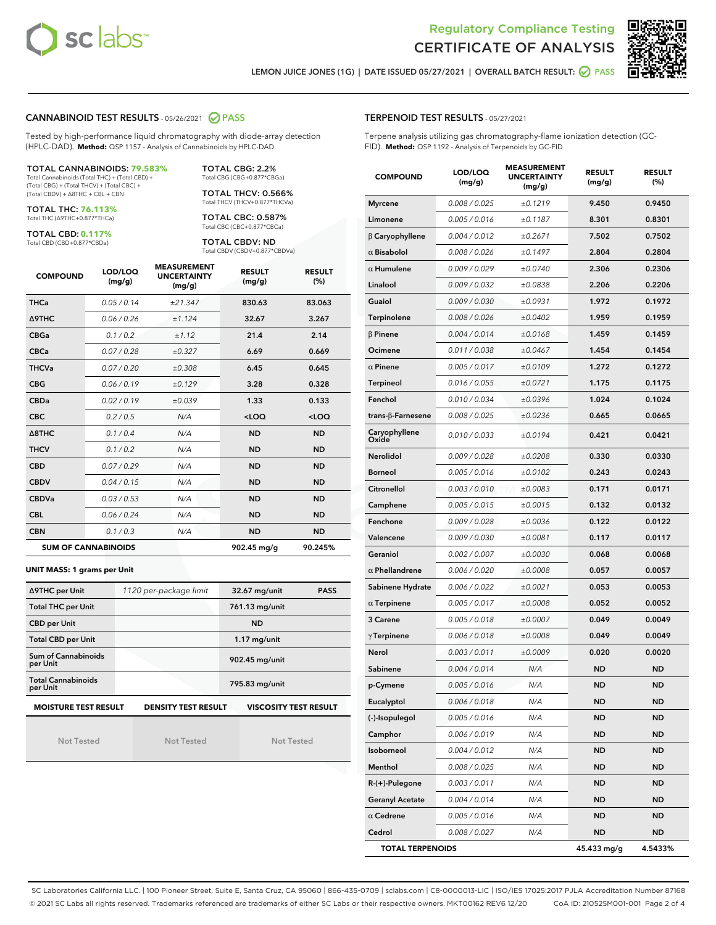



LEMON JUICE JONES (1G) | DATE ISSUED 05/27/2021 | OVERALL BATCH RESULT: @ PASS

#### CANNABINOID TEST RESULTS - 05/26/2021 2 PASS

Tested by high-performance liquid chromatography with diode-array detection (HPLC-DAD). **Method:** QSP 1157 - Analysis of Cannabinoids by HPLC-DAD

TOTAL CANNABINOIDS: **79.583%** Total Cannabinoids (Total THC) + (Total CBD) +

(Total CBG) + (Total THCV) + (Total CBC) + (Total CBDV) + ∆8THC + CBL + CBN

TOTAL THC: **76.113%** Total THC (∆9THC+0.877\*THCa)

TOTAL CBD: **0.117%**

Total CBD (CBD+0.877\*CBDa)

TOTAL CBG: 2.2% Total CBG (CBG+0.877\*CBGa)

TOTAL THCV: 0.566% Total THCV (THCV+0.877\*THCVa)

TOTAL CBC: 0.587% Total CBC (CBC+0.877\*CBCa)

TOTAL CBDV: ND Total CBDV (CBDV+0.877\*CBDVa)

| <b>COMPOUND</b>  | LOD/LOQ<br>(mg/g)          | <b>MEASUREMENT</b><br><b>UNCERTAINTY</b><br>(mg/g) | <b>RESULT</b><br>(mg/g) | <b>RESULT</b><br>(%) |
|------------------|----------------------------|----------------------------------------------------|-------------------------|----------------------|
| <b>THCa</b>      | 0.05/0.14                  | ±21.347                                            | 830.63                  | 83.063               |
| <b>A9THC</b>     | 0.06 / 0.26                | ±1.124                                             | 32.67                   | 3.267                |
| <b>CBGa</b>      | 0.1/0.2                    | ±1.12                                              | 21.4                    | 2.14                 |
| <b>CBCa</b>      | 0.07/0.28                  | ±0.327                                             | 6.69                    | 0.669                |
| <b>THCVa</b>     | 0.07/0.20                  | ±0.308                                             | 6.45                    | 0.645                |
| <b>CBG</b>       | 0.06/0.19                  | ±0.129                                             | 3.28                    | 0.328                |
| <b>CBDa</b>      | 0.02/0.19                  | ±0.039                                             | 1.33                    | 0.133                |
| <b>CBC</b>       | 0.2 / 0.5                  | N/A                                                | $<$ LOQ                 | $<$ LOQ              |
| $\triangle$ 8THC | 0.1/0.4                    | N/A                                                | <b>ND</b>               | <b>ND</b>            |
| <b>THCV</b>      | 0.1/0.2                    | N/A                                                | <b>ND</b>               | <b>ND</b>            |
| <b>CBD</b>       | 0.07/0.29                  | N/A                                                | <b>ND</b>               | <b>ND</b>            |
| <b>CBDV</b>      | 0.04 / 0.15                | N/A                                                | <b>ND</b>               | <b>ND</b>            |
| <b>CBDVa</b>     | 0.03/0.53                  | N/A                                                | <b>ND</b>               | <b>ND</b>            |
| <b>CBL</b>       | 0.06 / 0.24                | N/A                                                | <b>ND</b>               | <b>ND</b>            |
| <b>CBN</b>       | 0.1/0.3                    | N/A                                                | <b>ND</b>               | <b>ND</b>            |
|                  | <b>SUM OF CANNABINOIDS</b> |                                                    | 902.45 mg/g             | 90.245%              |

**UNIT MASS: 1 grams per Unit**

| ∆9THC per Unit                        | 1120 per-package limit     | 32.67 mg/unit<br><b>PASS</b> |  |  |
|---------------------------------------|----------------------------|------------------------------|--|--|
| <b>Total THC per Unit</b>             |                            | 761.13 mg/unit               |  |  |
| <b>CBD</b> per Unit                   |                            | <b>ND</b>                    |  |  |
| <b>Total CBD per Unit</b>             |                            | $1.17$ mg/unit               |  |  |
| Sum of Cannabinoids<br>per Unit       |                            | 902.45 mg/unit               |  |  |
| <b>Total Cannabinoids</b><br>per Unit |                            | 795.83 mg/unit               |  |  |
| <b>MOISTURE TEST RESULT</b>           | <b>DENSITY TEST RESULT</b> | <b>VISCOSITY TEST RESULT</b> |  |  |

Not Tested

Not Tested

Not Tested

#### TERPENOID TEST RESULTS - 05/27/2021

Terpene analysis utilizing gas chromatography-flame ionization detection (GC-FID). **Method:** QSP 1192 - Analysis of Terpenoids by GC-FID

| <b>COMPOUND</b>         | LOD/LOQ<br>(mg/g) | <b>MEASUREMENT</b><br><b>UNCERTAINTY</b><br>(mg/g) | <b>RESULT</b><br>(mg/g) | <b>RESULT</b><br>$(\%)$ |
|-------------------------|-------------------|----------------------------------------------------|-------------------------|-------------------------|
| <b>Myrcene</b>          | 0.008 / 0.025     | ±0.1219                                            | 9.450                   | 0.9450                  |
| Limonene                | 0.005 / 0.016     | ±0.1187                                            | 8.301                   | 0.8301                  |
| $\beta$ Caryophyllene   | 0.004 / 0.012     | ±0.2671                                            | 7.502                   | 0.7502                  |
| $\alpha$ Bisabolol      | 0.008 / 0.026     | ±0.1497                                            | 2.804                   | 0.2804                  |
| $\alpha$ Humulene       | 0.009/0.029       | ±0.0740                                            | 2.306                   | 0.2306                  |
| Linalool                | 0.009 / 0.032     | ±0.0838                                            | 2.206                   | 0.2206                  |
| Guaiol                  | 0.009 / 0.030     | ±0.0931                                            | 1.972                   | 0.1972                  |
| Terpinolene             | 0.008 / 0.026     | ±0.0402                                            | 1.959                   | 0.1959                  |
| $\beta$ Pinene          | 0.004 / 0.014     | ±0.0168                                            | 1.459                   | 0.1459                  |
| Ocimene                 | 0.011 / 0.038     | ±0.0467                                            | 1.454                   | 0.1454                  |
| $\alpha$ Pinene         | 0.005 / 0.017     | ±0.0109                                            | 1.272                   | 0.1272                  |
| <b>Terpineol</b>        | 0.016 / 0.055     | ±0.0721                                            | 1.175                   | 0.1175                  |
| Fenchol                 | 0.010 / 0.034     | ±0.0396                                            | 1.024                   | 0.1024                  |
| trans-ß-Farnesene       | 0.008 / 0.025     | ±0.0236                                            | 0.665                   | 0.0665                  |
| Caryophyllene<br>Oxide  | 0.010 / 0.033     | ±0.0194                                            | 0.421                   | 0.0421                  |
| Nerolidol               | 0.009 / 0.028     | ±0.0208                                            | 0.330                   | 0.0330                  |
| <b>Borneol</b>          | 0.005 / 0.016     | ±0.0102                                            | 0.243                   | 0.0243                  |
| Citronellol             | 0.003 / 0.010     | ±0.0083                                            | 0.171                   | 0.0171                  |
| Camphene                | 0.005 / 0.015     | ±0.0015                                            | 0.132                   | 0.0132                  |
| Fenchone                | 0.009 / 0.028     | ±0.0036                                            | 0.122                   | 0.0122                  |
| Valencene               | 0.009 / 0.030     | ±0.0081                                            | 0.117                   | 0.0117                  |
| Geraniol                | 0.002 / 0.007     | ±0.0030                                            | 0.068                   | 0.0068                  |
| $\alpha$ Phellandrene   | 0.006 / 0.020     | ±0.0008                                            | 0.057                   | 0.0057                  |
| Sabinene Hydrate        | 0.006 / 0.022     | ±0.0021                                            | 0.053                   | 0.0053                  |
| $\alpha$ Terpinene      | 0.005 / 0.017     | ±0.0008                                            | 0.052                   | 0.0052                  |
| 3 Carene                | 0.005 / 0.018     | ±0.0007                                            | 0.049                   | 0.0049                  |
| $\gamma$ Terpinene      | 0.006 / 0.018     | ±0.0008                                            | 0.049                   | 0.0049                  |
| Nerol                   | 0.003 / 0.011     | ±0.0009                                            | 0.020                   | 0.0020                  |
| Sabinene                | 0.004 / 0.014     | N/A                                                | ND                      | ND                      |
| p-Cymene                | 0.005 / 0.016     | N/A                                                | <b>ND</b>               | <b>ND</b>               |
| Eucalyptol              | 0.006 / 0.018     | N/A                                                | ND                      | ND                      |
| (-)-Isopulegol          | 0.005 / 0.016     | N/A                                                | ND                      | ND                      |
| Camphor                 | 0.006 / 0.019     | N/A                                                | ND                      | <b>ND</b>               |
| Isoborneol              | 0.004 / 0.012     | N/A                                                | ND                      | ND                      |
| Menthol                 | 0.008 / 0.025     | N/A                                                | ND                      | ND                      |
| R-(+)-Pulegone          | 0.003 / 0.011     | N/A                                                | ND                      | ND                      |
| <b>Geranyl Acetate</b>  | 0.004 / 0.014     | N/A                                                | ND                      | ND                      |
| $\alpha$ Cedrene        | 0.005 / 0.016     | N/A                                                | ND                      | ND                      |
| Cedrol                  | 0.008 / 0.027     | N/A                                                | ND                      | ND                      |
| <b>TOTAL TERPENOIDS</b> |                   |                                                    | 45.433 mg/g             | 4.5433%                 |

SC Laboratories California LLC. | 100 Pioneer Street, Suite E, Santa Cruz, CA 95060 | 866-435-0709 | sclabs.com | C8-0000013-LIC | ISO/IES 17025:2017 PJLA Accreditation Number 87168 © 2021 SC Labs all rights reserved. Trademarks referenced are trademarks of either SC Labs or their respective owners. MKT00162 REV6 12/20 CoA ID: 210525M001-001 Page 2 of 4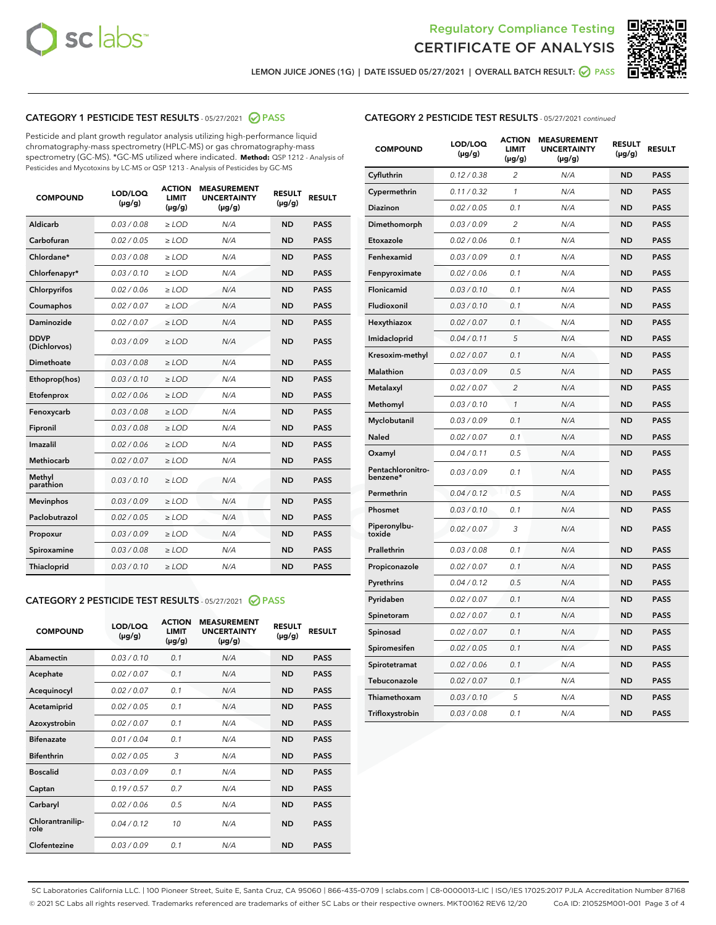



LEMON JUICE JONES (1G) | DATE ISSUED 05/27/2021 | OVERALL BATCH RESULT: ☑ PASS

#### CATEGORY 1 PESTICIDE TEST RESULTS - 05/27/2021 2 PASS

Pesticide and plant growth regulator analysis utilizing high-performance liquid chromatography-mass spectrometry (HPLC-MS) or gas chromatography-mass spectrometry (GC-MS). \*GC-MS utilized where indicated. **Method:** QSP 1212 - Analysis of Pesticides and Mycotoxins by LC-MS or QSP 1213 - Analysis of Pesticides by GC-MS

| <b>COMPOUND</b>             | LOD/LOQ<br>$(\mu g/g)$ | <b>ACTION</b><br><b>LIMIT</b><br>$(\mu g/g)$ | <b>MEASUREMENT</b><br><b>UNCERTAINTY</b><br>$(\mu g/g)$ | <b>RESULT</b><br>$(\mu g/g)$ | <b>RESULT</b> |
|-----------------------------|------------------------|----------------------------------------------|---------------------------------------------------------|------------------------------|---------------|
| Aldicarb                    | 0.03 / 0.08            | $\ge$ LOD                                    | N/A                                                     | <b>ND</b>                    | <b>PASS</b>   |
| Carbofuran                  | 0.02 / 0.05            | $\ge$ LOD                                    | N/A                                                     | <b>ND</b>                    | <b>PASS</b>   |
| Chlordane*                  | 0.03 / 0.08            | $\ge$ LOD                                    | N/A                                                     | <b>ND</b>                    | <b>PASS</b>   |
| Chlorfenapyr*               | 0.03/0.10              | $\ge$ LOD                                    | N/A                                                     | <b>ND</b>                    | <b>PASS</b>   |
| Chlorpyrifos                | 0.02 / 0.06            | $\ge$ LOD                                    | N/A                                                     | <b>ND</b>                    | <b>PASS</b>   |
| Coumaphos                   | 0.02 / 0.07            | $\ge$ LOD                                    | N/A                                                     | <b>ND</b>                    | <b>PASS</b>   |
| Daminozide                  | 0.02 / 0.07            | $\ge$ LOD                                    | N/A                                                     | <b>ND</b>                    | <b>PASS</b>   |
| <b>DDVP</b><br>(Dichlorvos) | 0.03/0.09              | $>$ LOD                                      | N/A                                                     | <b>ND</b>                    | <b>PASS</b>   |
| Dimethoate                  | 0.03 / 0.08            | $\ge$ LOD                                    | N/A                                                     | <b>ND</b>                    | <b>PASS</b>   |
| Ethoprop(hos)               | 0.03/0.10              | $>$ LOD                                      | N/A                                                     | <b>ND</b>                    | <b>PASS</b>   |
| Etofenprox                  | 0.02 / 0.06            | $\ge$ LOD                                    | N/A                                                     | <b>ND</b>                    | <b>PASS</b>   |
| Fenoxycarb                  | 0.03 / 0.08            | $\ge$ LOD                                    | N/A                                                     | <b>ND</b>                    | <b>PASS</b>   |
| Fipronil                    | 0.03/0.08              | $\ge$ LOD                                    | N/A                                                     | <b>ND</b>                    | <b>PASS</b>   |
| Imazalil                    | 0.02 / 0.06            | $\geq$ LOD                                   | N/A                                                     | <b>ND</b>                    | <b>PASS</b>   |
| <b>Methiocarb</b>           | 0.02 / 0.07            | $\ge$ LOD                                    | N/A                                                     | <b>ND</b>                    | <b>PASS</b>   |
| Methyl<br>parathion         | 0.03/0.10              | $\ge$ LOD                                    | N/A                                                     | <b>ND</b>                    | <b>PASS</b>   |
| <b>Mevinphos</b>            | 0.03/0.09              | $\ge$ LOD                                    | N/A                                                     | <b>ND</b>                    | <b>PASS</b>   |
| Paclobutrazol               | 0.02 / 0.05            | $>$ LOD                                      | N/A                                                     | <b>ND</b>                    | <b>PASS</b>   |
| Propoxur                    | 0.03 / 0.09            | $\ge$ LOD                                    | N/A                                                     | <b>ND</b>                    | <b>PASS</b>   |
| Spiroxamine                 | 0.03 / 0.08            | $\ge$ LOD                                    | N/A                                                     | <b>ND</b>                    | <b>PASS</b>   |
| Thiacloprid                 | 0.03/0.10              | $\ge$ LOD                                    | N/A                                                     | <b>ND</b>                    | <b>PASS</b>   |

#### CATEGORY 2 PESTICIDE TEST RESULTS - 05/27/2021 @ PASS

| <b>COMPOUND</b>          | LOD/LOQ<br>$(\mu g/g)$ | <b>ACTION</b><br><b>LIMIT</b><br>$(\mu g/g)$ | <b>MEASUREMENT</b><br><b>UNCERTAINTY</b><br>$(\mu g/g)$ | <b>RESULT</b><br>$(\mu g/g)$ | <b>RESULT</b> |
|--------------------------|------------------------|----------------------------------------------|---------------------------------------------------------|------------------------------|---------------|
| Abamectin                | 0.03/0.10              | 0.1                                          | N/A                                                     | <b>ND</b>                    | <b>PASS</b>   |
| Acephate                 | 0.02/0.07              | 0.1                                          | N/A                                                     | <b>ND</b>                    | <b>PASS</b>   |
| Acequinocyl              | 0.02/0.07              | 0.1                                          | N/A                                                     | <b>ND</b>                    | <b>PASS</b>   |
| Acetamiprid              | 0.02/0.05              | 0.1                                          | N/A                                                     | <b>ND</b>                    | <b>PASS</b>   |
| Azoxystrobin             | 0.02/0.07              | 0.1                                          | N/A                                                     | <b>ND</b>                    | <b>PASS</b>   |
| <b>Bifenazate</b>        | 0.01/0.04              | 0.1                                          | N/A                                                     | <b>ND</b>                    | <b>PASS</b>   |
| <b>Bifenthrin</b>        | 0.02 / 0.05            | 3                                            | N/A                                                     | <b>ND</b>                    | <b>PASS</b>   |
| <b>Boscalid</b>          | 0.03/0.09              | 0.1                                          | N/A                                                     | <b>ND</b>                    | <b>PASS</b>   |
| Captan                   | 0.19/0.57              | 0.7                                          | N/A                                                     | <b>ND</b>                    | <b>PASS</b>   |
| Carbaryl                 | 0.02/0.06              | 0.5                                          | N/A                                                     | <b>ND</b>                    | <b>PASS</b>   |
| Chlorantranilip-<br>role | 0.04/0.12              | 10                                           | N/A                                                     | <b>ND</b>                    | <b>PASS</b>   |
| Clofentezine             | 0.03/0.09              | 0.1                                          | N/A                                                     | <b>ND</b>                    | <b>PASS</b>   |

| <b>COMPOUND</b>               | LOD/LOQ<br>(µg/g) | <b>ACTION</b><br><b>LIMIT</b><br>(µg/g) | <b>MEASUREMENT</b><br><b>UNCERTAINTY</b><br>$(\mu g/g)$ | <b>RESULT</b><br>(µg/g) | <b>RESULT</b> |
|-------------------------------|-------------------|-----------------------------------------|---------------------------------------------------------|-------------------------|---------------|
| Cyfluthrin                    | 0.12 / 0.38       | $\overline{c}$                          | N/A                                                     | <b>ND</b>               | <b>PASS</b>   |
| Cypermethrin                  | 0.11 / 0.32       | $\mathcal{I}$                           | N/A                                                     | <b>ND</b>               | <b>PASS</b>   |
| <b>Diazinon</b>               | 0.02 / 0.05       | 0.1                                     | N/A                                                     | <b>ND</b>               | <b>PASS</b>   |
| Dimethomorph                  | 0.03 / 0.09       | 2                                       | N/A                                                     | <b>ND</b>               | <b>PASS</b>   |
| Etoxazole                     | 0.02 / 0.06       | 0.1                                     | N/A                                                     | <b>ND</b>               | <b>PASS</b>   |
| Fenhexamid                    | 0.03 / 0.09       | 0.1                                     | N/A                                                     | <b>ND</b>               | <b>PASS</b>   |
| Fenpyroximate                 | 0.02 / 0.06       | 0.1                                     | N/A                                                     | <b>ND</b>               | <b>PASS</b>   |
| Flonicamid                    | 0.03 / 0.10       | 0.1                                     | N/A                                                     | <b>ND</b>               | <b>PASS</b>   |
| Fludioxonil                   | 0.03 / 0.10       | 0.1                                     | N/A                                                     | <b>ND</b>               | <b>PASS</b>   |
| Hexythiazox                   | 0.02 / 0.07       | 0.1                                     | N/A                                                     | <b>ND</b>               | <b>PASS</b>   |
| Imidacloprid                  | 0.04 / 0.11       | 5                                       | N/A                                                     | <b>ND</b>               | <b>PASS</b>   |
| Kresoxim-methyl               | 0.02 / 0.07       | 0.1                                     | N/A                                                     | <b>ND</b>               | <b>PASS</b>   |
| <b>Malathion</b>              | 0.03 / 0.09       | 0.5                                     | N/A                                                     | <b>ND</b>               | <b>PASS</b>   |
| Metalaxyl                     | 0.02 / 0.07       | $\overline{c}$                          | N/A                                                     | <b>ND</b>               | <b>PASS</b>   |
| Methomyl                      | 0.03 / 0.10       | 1                                       | N/A                                                     | <b>ND</b>               | <b>PASS</b>   |
| Myclobutanil                  | 0.03 / 0.09       | 0.1                                     | N/A                                                     | <b>ND</b>               | <b>PASS</b>   |
| Naled                         | 0.02 / 0.07       | 0.1                                     | N/A                                                     | <b>ND</b>               | <b>PASS</b>   |
| Oxamyl                        | 0.04 / 0.11       | 0.5                                     | N/A                                                     | <b>ND</b>               | <b>PASS</b>   |
| Pentachloronitro-<br>benzene* | 0.03 / 0.09       | 0.1                                     | N/A                                                     | <b>ND</b>               | <b>PASS</b>   |
| Permethrin                    | 0.04 / 0.12       | 0.5                                     | N/A                                                     | <b>ND</b>               | <b>PASS</b>   |
| Phosmet                       | 0.03 / 0.10       | 0.1                                     | N/A                                                     | <b>ND</b>               | <b>PASS</b>   |
| Piperonylbu-<br>toxide        | 0.02 / 0.07       | 3                                       | N/A                                                     | <b>ND</b>               | <b>PASS</b>   |
| Prallethrin                   | 0.03 / 0.08       | 0.1                                     | N/A                                                     | <b>ND</b>               | <b>PASS</b>   |
| Propiconazole                 | 0.02 / 0.07       | 0.1                                     | N/A                                                     | <b>ND</b>               | <b>PASS</b>   |
| Pyrethrins                    | 0.04 / 0.12       | 0.5                                     | N/A                                                     | <b>ND</b>               | <b>PASS</b>   |
| Pyridaben                     | 0.02 / 0.07       | 0.1                                     | N/A                                                     | <b>ND</b>               | <b>PASS</b>   |
| Spinetoram                    | 0.02 / 0.07       | 0.1                                     | N/A                                                     | <b>ND</b>               | <b>PASS</b>   |
| Spinosad                      | 0.02 / 0.07       | 0.1                                     | N/A                                                     | <b>ND</b>               | <b>PASS</b>   |
| Spiromesifen                  | 0.02 / 0.05       | 0.1                                     | N/A                                                     | <b>ND</b>               | <b>PASS</b>   |
| Spirotetramat                 | 0.02 / 0.06       | 0.1                                     | N/A                                                     | <b>ND</b>               | <b>PASS</b>   |
| Tebuconazole                  | 0.02 / 0.07       | 0.1                                     | N/A                                                     | <b>ND</b>               | <b>PASS</b>   |
| Thiamethoxam                  | 0.03 / 0.10       | 5                                       | N/A                                                     | <b>ND</b>               | <b>PASS</b>   |
| Trifloxystrobin               | 0.03 / 0.08       | 0.1                                     | N/A                                                     | <b>ND</b>               | <b>PASS</b>   |

SC Laboratories California LLC. | 100 Pioneer Street, Suite E, Santa Cruz, CA 95060 | 866-435-0709 | sclabs.com | C8-0000013-LIC | ISO/IES 17025:2017 PJLA Accreditation Number 87168 © 2021 SC Labs all rights reserved. Trademarks referenced are trademarks of either SC Labs or their respective owners. MKT00162 REV6 12/20 CoA ID: 210525M001-001 Page 3 of 4